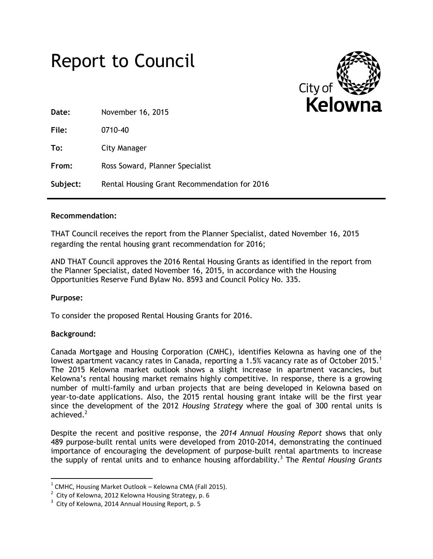



| Date:    | November 16, 2015                            |
|----------|----------------------------------------------|
| File:    | $0710 - 40$                                  |
| To:      | City Manager                                 |
| From:    | Ross Soward, Planner Specialist              |
| Subject: | Rental Housing Grant Recommendation for 2016 |
|          |                                              |

### **Recommendation:**

THAT Council receives the report from the Planner Specialist, dated November 16, 2015 regarding the rental housing grant recommendation for 2016;

AND THAT Council approves the 2016 Rental Housing Grants as identified in the report from the Planner Specialist, dated November 16, 2015, in accordance with the Housing Opportunities Reserve Fund Bylaw No. 8593 and Council Policy No. 335.

# **Purpose:**

To consider the proposed Rental Housing Grants for 2016.

# **Background:**

 $\overline{\phantom{a}}$ 

Canada Mortgage and Housing Corporation (CMHC), identifies Kelowna as having one of the lowest apartment vacancy rates in Canada, reporting a 1.5% vacancy rate as of October 2015.<sup>1</sup> The 2015 Kelowna market outlook shows a slight increase in apartment vacancies, but Kelowna's rental housing market remains highly competitive. In response, there is a growing number of multi-family and urban projects that are being developed in Kelowna based on year-to-date applications. Also, the 2015 rental housing grant intake will be the first year since the development of the 2012 *Housing Strategy* where the goal of 300 rental units is achieved.<sup>2</sup>

Despite the recent and positive response, the *2014 Annual Housing Report* shows that only 489 purpose-built rental units were developed from 2010-2014, demonstrating the continued importance of encouraging the development of purpose-built rental apartments to increase the supply of rental units and to enhance housing affordability.<sup>3</sup> The *Rental Housing Grants* 

 $^1$  CMHC, Housing Market Outlook – Kelowna CMA (Fall 2015).

 $2$  City of Kelowna, 2012 Kelowna Housing Strategy, p. 6

 $3$  City of Kelowna, 2014 Annual Housing Report, p. 5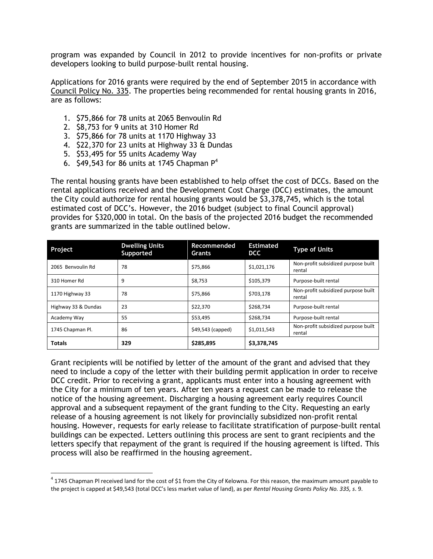program was expanded by Council in 2012 to provide incentives for non-profits or private developers looking to build purpose-built rental housing.

Applications for 2016 grants were required by the end of September 2015 in accordance with Council Policy No. 335. The properties being recommended for rental housing grants in 2016, are as follows:

- 1. \$75,866 for 78 units at 2065 Benvoulin Rd
- 2. \$8,753 for 9 units at 310 Homer Rd
- 3. \$75,866 for 78 units at 1170 Highway 33
- 4. \$22,370 for 23 units at Highway 33 & Dundas
- 5. \$53,495 for 55 units Academy Way

 $\overline{\phantom{a}}$ 

6. \$49,543 for 86 units at 1745 Chapman  $P^4$ 

The rental housing grants have been established to help offset the cost of DCCs. Based on the rental applications received and the Development Cost Charge (DCC) estimates, the amount the City could authorize for rental housing grants would be \$3,378,745, which is the total estimated cost of DCC's. However, the 2016 budget (subject to final Council approval) provides for \$320,000 in total. On the basis of the projected 2016 budget the recommended grants are summarized in the table outlined below.

| Project             | <b>Dwelling Units</b><br>Supported | Recommended<br><b>Grants</b> | <b>Estimated</b><br><b>DCC</b> | <b>Type of Units</b>                          |
|---------------------|------------------------------------|------------------------------|--------------------------------|-----------------------------------------------|
| 2065 Benvoulin Rd   | 78                                 | \$75,866                     | \$1,021,176                    | Non-profit subsidized purpose built<br>rental |
| 310 Homer Rd        | 9                                  | \$8,753                      | \$105,379                      | Purpose-built rental                          |
| 1170 Highway 33     | 78                                 | \$75,866                     | \$703,178                      | Non-profit subsidized purpose built<br>rental |
| Highway 33 & Dundas | 23                                 | \$22,370                     | \$268,734                      | Purpose-built rental                          |
| Academy Way         | 55                                 | \$53,495                     | \$268,734                      | Purpose-built rental                          |
| 1745 Chapman Pl.    | 86                                 | \$49,543 (capped)            | \$1,011,543                    | Non-profit subsidized purpose built<br>rental |
| <b>Totals</b>       | 329                                | \$285,895                    | \$3,378,745                    |                                               |

Grant recipients will be notified by letter of the amount of the grant and advised that they need to include a copy of the letter with their building permit application in order to receive DCC credit. Prior to receiving a grant, applicants must enter into a housing agreement with the City for a minimum of ten years. After ten years a request can be made to release the notice of the housing agreement. Discharging a housing agreement early requires Council approval and a subsequent repayment of the grant funding to the City. Requesting an early release of a housing agreement is not likely for provincially subsidized non-profit rental housing. However, requests for early release to facilitate stratification of purpose-built rental buildings can be expected. Letters outlining this process are sent to grant recipients and the letters specify that repayment of the grant is required if the housing agreement is lifted. This process will also be reaffirmed in the housing agreement.

 $^4$  1745 Chapman Pl received land for the cost of \$1 from the City of Kelowna. For this reason, the maximum amount payable to the project is capped at \$49,543 (total DCC's less market value of land), as per *Rental Housing Grants Policy No. 335, s*. 9.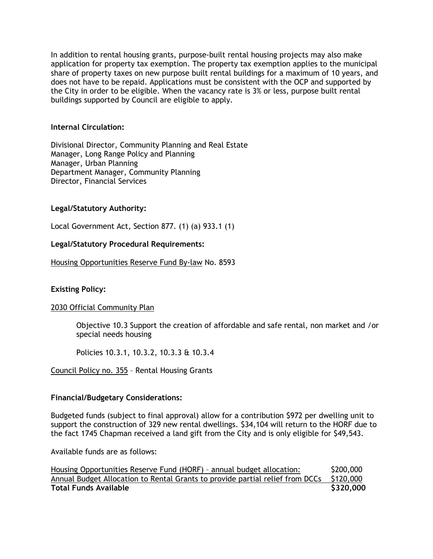In addition to rental housing grants, purpose-built rental housing projects may also make application for property tax exemption. The property tax exemption applies to the municipal share of property taxes on new purpose built rental buildings for a maximum of 10 years, and does not have to be repaid. Applications must be consistent with the OCP and supported by the City in order to be eligible. When the vacancy rate is 3% or less, purpose built rental buildings supported by Council are eligible to apply.

### **Internal Circulation:**

Divisional Director, Community Planning and Real Estate Manager, Long Range Policy and Planning Manager, Urban Planning Department Manager, Community Planning Director, Financial Services

# **Legal/Statutory Authority:**

Local Government Act, Section 877. (1) (a) 933.1 (1)

### **Legal/Statutory Procedural Requirements:**

Housing Opportunities Reserve Fund By-law No. 8593

# **Existing Policy:**

### 2030 Official Community Plan

Objective 10.3 Support the creation of affordable and safe rental, non market and /or special needs housing

Policies 10.3.1, 10.3.2, 10.3.3 & 10.3.4

Council Policy no. 355 – Rental Housing Grants

### **Financial/Budgetary Considerations:**

Budgeted funds (subject to final approval) allow for a contribution \$972 per dwelling unit to support the construction of 329 new rental dwellings. \$34,104 will return to the HORF due to the fact 1745 Chapman received a land gift from the City and is only eligible for \$49,543.

Available funds are as follows:

| Housing Opportunities Reserve Fund (HORF) - annual budget allocation:                   | \$200,000 |
|-----------------------------------------------------------------------------------------|-----------|
| Annual Budget Allocation to Rental Grants to provide partial relief from DCCs \$120,000 |           |
| <b>Total Funds Available</b>                                                            | \$320,000 |